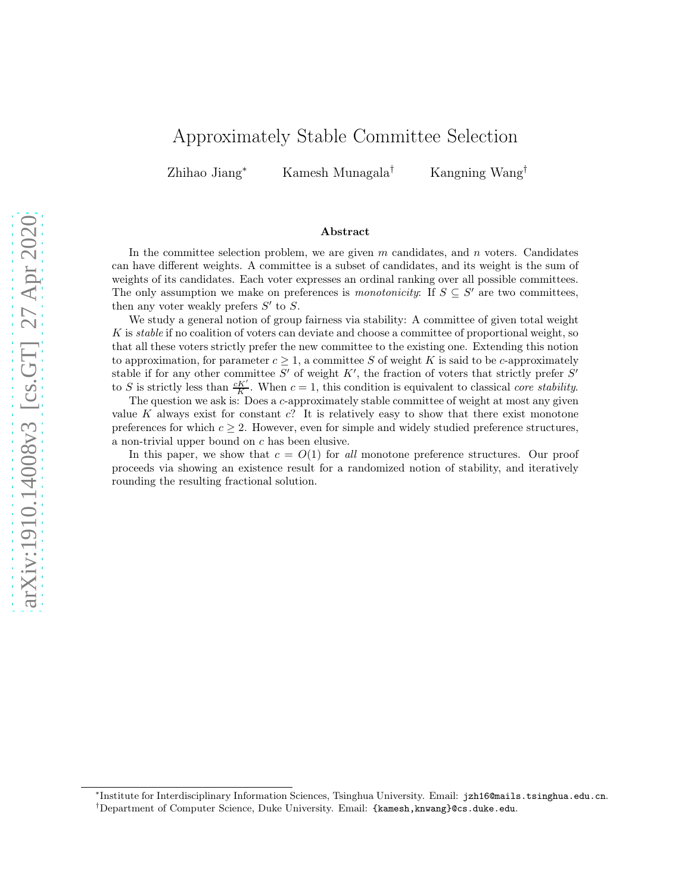# Approximately Stable Committee Selection

Zhihao Jiang<sup>∗</sup> Kamesh Munagala† Kangning Wang†

#### Abstract

In the committee selection problem, we are given  $m$  candidates, and  $n$  voters. Candidates can have different weights. A committee is a subset of candidates, and its weight is the sum of weights of its candidates. Each voter expresses an ordinal ranking over all possible committees. The only assumption we make on preferences is *monotonicity*: If  $S \subseteq S'$  are two committees, then any voter weakly prefers  $S'$  to  $S$ .

We study a general notion of group fairness via stability: A committee of given total weight  $K$  is stable if no coalition of voters can deviate and choose a committee of proportional weight, so that all these voters strictly prefer the new committee to the existing one. Extending this notion to approximation, for parameter  $c \geq 1$ , a committee S of weight K is said to be c-approximately stable if for any other committee  $S'$  of weight  $K'$ , the fraction of voters that strictly prefer  $S'$ to S is strictly less than  $\frac{cK'}{K}$ . When  $c = 1$ , this condition is equivalent to classical *core stability*.

The question we ask is: Does a c-approximately stable committee of weight at most any given value K always exist for constant  $c$ ? It is relatively easy to show that there exist monotone preferences for which  $c \geq 2$ . However, even for simple and widely studied preference structures, a non-trivial upper bound on c has been elusive.

In this paper, we show that  $c = O(1)$  for all monotone preference structures. Our proof proceeds via showing an existence result for a randomized notion of stability, and iteratively rounding the resulting fractional solution.

<sup>∗</sup> Institute for Interdisciplinary Information Sciences, Tsinghua University. Email: jzh16@mails.tsinghua.edu.cn.

<sup>†</sup>Department of Computer Science, Duke University. Email: {kamesh,knwang}@cs.duke.edu.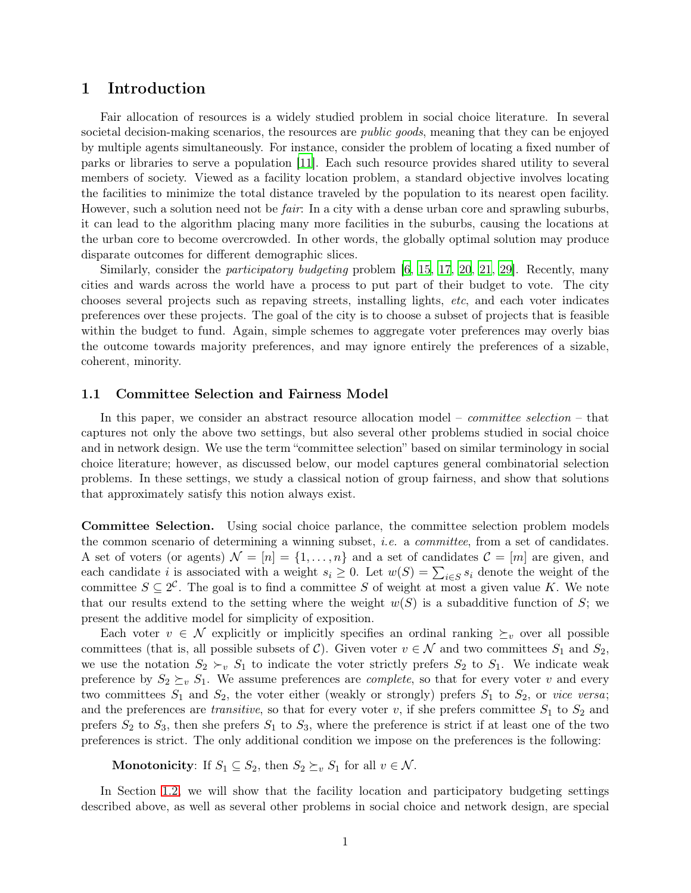## 1 Introduction

Fair allocation of resources is a widely studied problem in social choice literature. In several societal decision-making scenarios, the resources are *public goods*, meaning that they can be enjoyed by multiple agents simultaneously. For instance, consider the problem of locating a fixed number of parks or libraries to serve a population [\[11\]](#page-14-0). Each such resource provides shared utility to several members of society. Viewed as a facility location problem, a standard objective involves locating the facilities to minimize the total distance traveled by the population to its nearest open facility. However, such a solution need not be *fair*: In a city with a dense urban core and sprawling suburbs, it can lead to the algorithm placing many more facilities in the suburbs, causing the locations at the urban core to become overcrowded. In other words, the globally optimal solution may produce disparate outcomes for different demographic slices.

Similarly, consider the *participatory budgeting* problem [\[6,](#page-13-0) [15,](#page-14-1) [17,](#page-14-2) [20,](#page-14-3) [21,](#page-14-4) [29\]](#page-15-0). Recently, many cities and wards across the world have a process to put part of their budget to vote. The city chooses several projects such as repaving streets, installing lights, etc, and each voter indicates preferences over these projects. The goal of the city is to choose a subset of projects that is feasible within the budget to fund. Again, simple schemes to aggregate voter preferences may overly bias the outcome towards majority preferences, and may ignore entirely the preferences of a sizable, coherent, minority.

#### 1.1 Committee Selection and Fairness Model

In this paper, we consider an abstract resource allocation model – *committee selection* – that captures not only the above two settings, but also several other problems studied in social choice and in network design. We use the term "committee selection" based on similar terminology in social choice literature; however, as discussed below, our model captures general combinatorial selection problems. In these settings, we study a classical notion of group fairness, and show that solutions that approximately satisfy this notion always exist.

Committee Selection. Using social choice parlance, the committee selection problem models the common scenario of determining a winning subset, i.e. a committee, from a set of candidates. A set of voters (or agents)  $\mathcal{N} = [n] = \{1, \ldots, n\}$  and a set of candidates  $\mathcal{C} = [m]$  are given, and each candidate *i* is associated with a weight  $s_i \geq 0$ . Let  $w(S) = \sum_{i \in S} s_i$  denote the weight of the committee  $S \subseteq 2^{\mathcal{C}}$ . The goal is to find a committee S of weight at most a given value K. We note that our results extend to the setting where the weight  $w(S)$  is a subadditive function of S; we present the additive model for simplicity of exposition.

Each voter  $v \in \mathcal{N}$  explicitly or implicitly specifies an ordinal ranking  $\succeq_v$  over all possible committees (that is, all possible subsets of C). Given voter  $v \in \mathcal{N}$  and two committees  $S_1$  and  $S_2$ , we use the notation  $S_2 \succ_v S_1$  to indicate the voter strictly prefers  $S_2$  to  $S_1$ . We indicate weak preference by  $S_2 \succeq_v S_1$ . We assume preferences are *complete*, so that for every voter v and every two committees  $S_1$  and  $S_2$ , the voter either (weakly or strongly) prefers  $S_1$  to  $S_2$ , or vice versa; and the preferences are *transitive*, so that for every voter  $v$ , if she prefers committee  $S_1$  to  $S_2$  and prefers  $S_2$  to  $S_3$ , then she prefers  $S_1$  to  $S_3$ , where the preference is strict if at least one of the two preferences is strict. The only additional condition we impose on the preferences is the following:

**Monotonicity**: If  $S_1 \subseteq S_2$ , then  $S_2 \succeq_v S_1$  for all  $v \in \mathcal{N}$ .

In Section [1.2,](#page-2-0) we will show that the facility location and participatory budgeting settings described above, as well as several other problems in social choice and network design, are special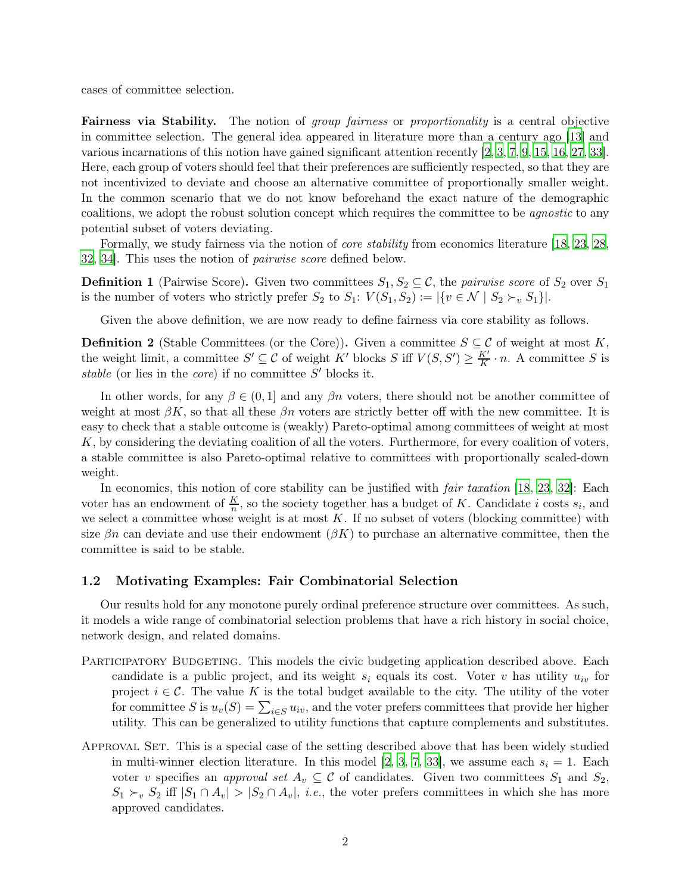cases of committee selection.

Fairness via Stability. The notion of *group fairness* or *proportionality* is a central objective in committee selection. The general idea appeared in literature more than a century ago [\[13\]](#page-14-5) and various incarnations of this notion have gained significant attention recently [\[2,](#page-13-1) [3](#page-13-2), [7](#page-13-3), [9](#page-14-6), [15,](#page-14-1) [16,](#page-14-7) [27](#page-15-1), [33\]](#page-15-2). Here, each group of voters should feel that their preferences are sufficiently respected, so that they are not incentivized to deviate and choose an alternative committee of proportionally smaller weight. In the common scenario that we do not know beforehand the exact nature of the demographic coalitions, we adopt the robust solution concept which requires the committee to be agnostic to any potential subset of voters deviating.

Formally, we study fairness via the notion of *core stability* from economics literature [\[18](#page-14-8), [23,](#page-14-9) [28,](#page-15-3) [32,](#page-15-4) [34](#page-15-5)]. This uses the notion of pairwise score defined below.

**Definition 1** (Pairwise Score). Given two committees  $S_1, S_2 \subseteq \mathcal{C}$ , the pairwise score of  $S_2$  over  $S_1$ is the number of voters who strictly prefer  $S_2$  to  $S_1: V(S_1, S_2) := |\{v \in \mathcal{N} \mid S_2 \succ_v S_1\}|.$ 

Given the above definition, we are now ready to define fairness via core stability as follows.

**Definition 2** (Stable Committees (or the Core)). Given a committee  $S \subseteq \mathcal{C}$  of weight at most K, the weight limit, a committee  $S' \subseteq C$  of weight K' blocks S iff  $V(S, S') \geq \frac{K'}{K}$  $\frac{K'}{K} \cdot n$ . A committee S is stable (or lies in the *core*) if no committee  $S'$  blocks it.

In other words, for any  $\beta \in (0, 1]$  and any  $\beta n$  voters, there should not be another committee of weight at most  $\beta K$ , so that all these  $\beta n$  voters are strictly better off with the new committee. It is easy to check that a stable outcome is (weakly) Pareto-optimal among committees of weight at most K, by considering the deviating coalition of all the voters. Furthermore, for every coalition of voters, a stable committee is also Pareto-optimal relative to committees with proportionally scaled-down weight.

In economics, this notion of core stability can be justified with *fair taxation* [\[18,](#page-14-8) [23](#page-14-9), [32](#page-15-4)]: Each voter has an endowment of  $\frac{K}{n}$ , so the society together has a budget of K. Candidate i costs  $s_i$ , and we select a committee whose weight is at most  $K$ . If no subset of voters (blocking committee) with size  $\beta n$  can deviate and use their endowment  $(\beta K)$  to purchase an alternative committee, then the committee is said to be stable.

#### <span id="page-2-0"></span>1.2 Motivating Examples: Fair Combinatorial Selection

Our results hold for any monotone purely ordinal preference structure over committees. As such, it models a wide range of combinatorial selection problems that have a rich history in social choice, network design, and related domains.

- PARTICIPATORY BUDGETING. This models the civic budgeting application described above. Each candidate is a public project, and its weight  $s_i$  equals its cost. Voter v has utility  $u_{iv}$  for project  $i \in \mathcal{C}$ . The value K is the total budget available to the city. The utility of the voter for committee S is  $u_v(S) = \sum_{i \in S} u_{iv}$ , and the voter prefers committees that provide her higher utility. This can be generalized to utility functions that capture complements and substitutes.
- APPROVAL SET. This is a special case of the setting described above that has been widely studied in multi-winner election literature. In this model [\[2](#page-13-1), [3,](#page-13-2) [7](#page-13-3), [33](#page-15-2)], we assume each  $s_i = 1$ . Each voter v specifies an approval set  $A_v \subseteq \mathcal{C}$  of candidates. Given two committees  $S_1$  and  $S_2$ ,  $S_1 \succ_v S_2$  iff  $|S_1 \cap A_v| > |S_2 \cap A_v|$ , *i.e.*, the voter prefers committees in which she has more approved candidates.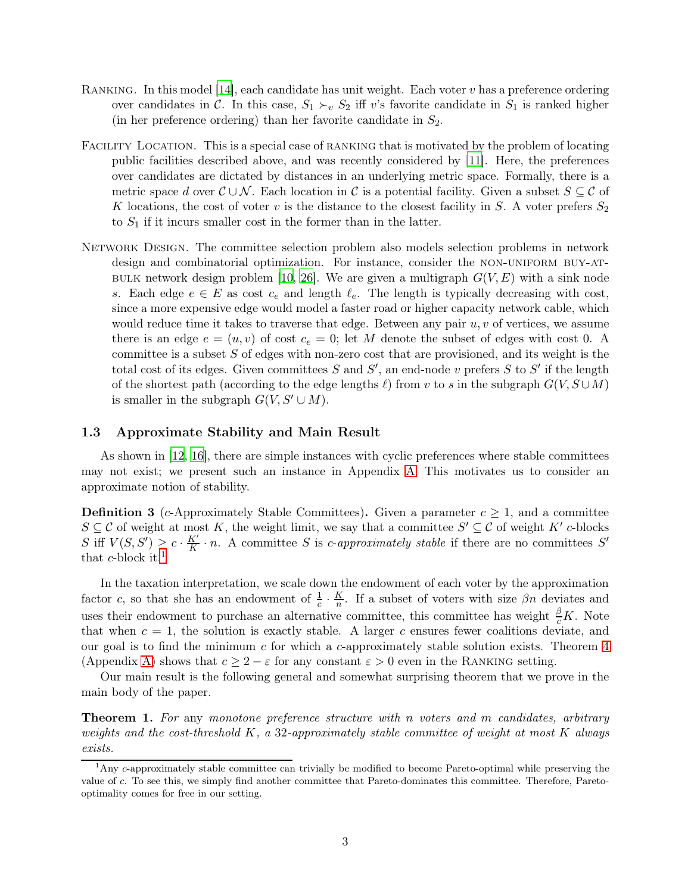- RANKING. In this model  $[14]$ , each candidate has unit weight. Each voter v has a preference ordering over candidates in C. In this case,  $S_1 \succ_v S_2$  iff v's favorite candidate in  $S_1$  is ranked higher (in her preference ordering) than her favorite candidate in  $S_2$ .
- FACILITY LOCATION. This is a special case of RANKING that is motivated by the problem of locating public facilities described above, and was recently considered by [\[11](#page-14-0)]. Here, the preferences over candidates are dictated by distances in an underlying metric space. Formally, there is a metric space d over  $\mathcal{C} \cup \mathcal{N}$ . Each location in C is a potential facility. Given a subset  $S \subseteq \mathcal{C}$  of K locations, the cost of voter v is the distance to the closest facility in S. A voter prefers  $S_2$ to  $S_1$  if it incurs smaller cost in the former than in the latter.
- NETWORK DESIGN. The committee selection problem also models selection problems in network design and combinatorial optimization. For instance, consider the NON-UNIFORM BUY-AT-BULK network design problem [\[10,](#page-14-11) [26](#page-15-6)]. We are given a multigraph  $G(V, E)$  with a sink node s. Each edge  $e \in E$  as cost  $c_e$  and length  $\ell_e$ . The length is typically decreasing with cost, since a more expensive edge would model a faster road or higher capacity network cable, which would reduce time it takes to traverse that edge. Between any pair  $u, v$  of vertices, we assume there is an edge  $e = (u, v)$  of cost  $c_e = 0$ ; let M denote the subset of edges with cost 0. A committee is a subset  $S$  of edges with non-zero cost that are provisioned, and its weight is the total cost of its edges. Given committees  $S$  and  $S'$ , an end-node v prefers  $S$  to  $S'$  if the length of the shortest path (according to the edge lengths  $\ell$ ) from v to s in the subgraph  $G(V, S \cup M)$ is smaller in the subgraph  $G(V, S' \cup M)$ .

#### 1.3 Approximate Stability and Main Result

As shown in [\[12](#page-14-12), [16](#page-14-7)], there are simple instances with cyclic preferences where stable committees may not exist; we present such an instance in Appendix [A.](#page-15-7) This motivates us to consider an approximate notion of stability.

**Definition 3** (c-Approximately Stable Committees). Given a parameter  $c \geq 1$ , and a committee  $S \subseteq \mathcal{C}$  of weight at most K, the weight limit, we say that a committee S  $\mathcal{C} \subseteq \mathcal{C}$  of weight  $K'$  c-blocks S iff  $V(S, S') \geq c \cdot \frac{K'}{K}$  $\frac{K'}{K} \cdot n$ . A committee S is *c*-approximately stable if there are no committees S' that *c*-block it.<sup>[1](#page-3-0)</sup>

In the taxation interpretation, we scale down the endowment of each voter by the approximation factor c, so that she has an endowment of  $\frac{1}{c} \cdot \frac{K}{n}$  $\frac{R}{n}$ . If a subset of voters with size  $\beta n$  deviates and uses their endowment to purchase an alternative committee, this committee has weight  $\frac{\beta}{c}K$ . Note that when  $c = 1$ , the solution is exactly stable. A larger c ensures fewer coalitions deviate, and our goal is to find the minimum c for which a c-approximately stable solution exists. Theorem  $4$ (Appendix [A\)](#page-15-7) shows that  $c \geq 2 - \varepsilon$  for any constant  $\varepsilon > 0$  even in the RANKING setting.

Our main result is the following general and somewhat surprising theorem that we prove in the main body of the paper.

<span id="page-3-1"></span>**Theorem 1.** For any monotone preference structure with n voters and m candidates, arbitrary weights and the cost-threshold  $K$ , a 32-approximately stable committee of weight at most  $K$  always exists.

<span id="page-3-0"></span><sup>&</sup>lt;sup>1</sup>Any c-approximately stable committee can trivially be modified to become Pareto-optimal while preserving the value of c. To see this, we simply find another committee that Pareto-dominates this committee. Therefore, Paretooptimality comes for free in our setting.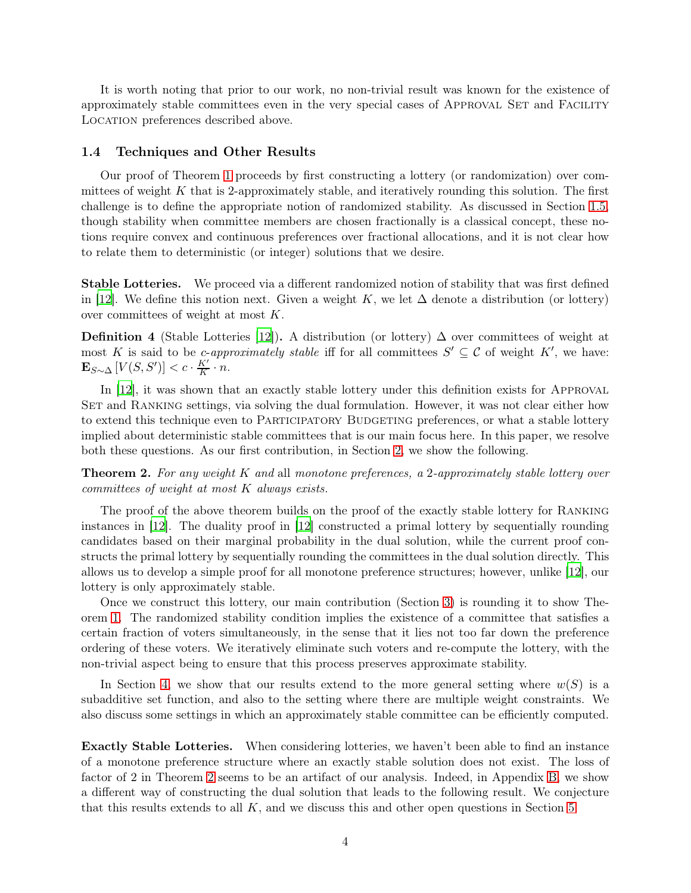It is worth noting that prior to our work, no non-trivial result was known for the existence of approximately stable committees even in the very special cases of APPROVAL SET and FACILITY Location preferences described above.

#### 1.4 Techniques and Other Results

Our proof of Theorem [1](#page-3-1) proceeds by first constructing a lottery (or randomization) over committees of weight  $K$  that is 2-approximately stable, and iteratively rounding this solution. The first challenge is to define the appropriate notion of randomized stability. As discussed in Section [1.5,](#page-5-0) though stability when committee members are chosen fractionally is a classical concept, these notions require convex and continuous preferences over fractional allocations, and it is not clear how to relate them to deterministic (or integer) solutions that we desire.

Stable Lotteries. We proceed via a different randomized notion of stability that was first defined in [\[12\]](#page-14-12). We define this notion next. Given a weight K, we let  $\Delta$  denote a distribution (or lottery) over committees of weight at most K.

<span id="page-4-1"></span>**Definition 4** (Stable Lotteries [\[12](#page-14-12)]). A distribution (or lottery)  $\Delta$  over committees of weight at most K is said to be c-approximately stable iff for all committees  $S' \subseteq \mathcal{C}$  of weight  $K'$ , we have:  $\mathbf{E}_{S \sim \Delta} \left[ V(S, S') \right] < c \cdot \frac{K'}{K}$  $\frac{K'}{K} \cdot n$ .

In [\[12\]](#page-14-12), it was shown that an exactly stable lottery under this definition exists for APPROVAL SET and RANKING settings, via solving the dual formulation. However, it was not clear either how to extend this technique even to PARTICIPATORY BUDGETING preferences, or what a stable lottery implied about deterministic stable committees that is our main focus here. In this paper, we resolve both these questions. As our first contribution, in Section [2,](#page-6-0) we show the following.

<span id="page-4-0"></span>**Theorem 2.** For any weight K and all monotone preferences, a 2-approximately stable lottery over committees of weight at most K always exists.

The proof of the above theorem builds on the proof of the exactly stable lottery for Ranking instances in [\[12](#page-14-12)]. The duality proof in [\[12](#page-14-12)] constructed a primal lottery by sequentially rounding candidates based on their marginal probability in the dual solution, while the current proof constructs the primal lottery by sequentially rounding the committees in the dual solution directly. This allows us to develop a simple proof for all monotone preference structures; however, unlike [\[12\]](#page-14-12), our lottery is only approximately stable.

Once we construct this lottery, our main contribution (Section [3\)](#page-8-0) is rounding it to show Theorem [1.](#page-3-1) The randomized stability condition implies the existence of a committee that satisfies a certain fraction of voters simultaneously, in the sense that it lies not too far down the preference ordering of these voters. We iteratively eliminate such voters and re-compute the lottery, with the non-trivial aspect being to ensure that this process preserves approximate stability.

In Section [4,](#page-11-0) we show that our results extend to the more general setting where  $w(S)$  is a subadditive set function, and also to the setting where there are multiple weight constraints. We also discuss some settings in which an approximately stable committee can be efficiently computed.

Exactly Stable Lotteries. When considering lotteries, we haven't been able to find an instance of a monotone preference structure where an exactly stable solution does not exist. The loss of factor of 2 in Theorem [2](#page-4-0) seems to be an artifact of our analysis. Indeed, in Appendix [B,](#page-16-0) we show a different way of constructing the dual solution that leads to the following result. We conjecture that this results extends to all K, and we discuss this and other open questions in Section [5.](#page-12-0)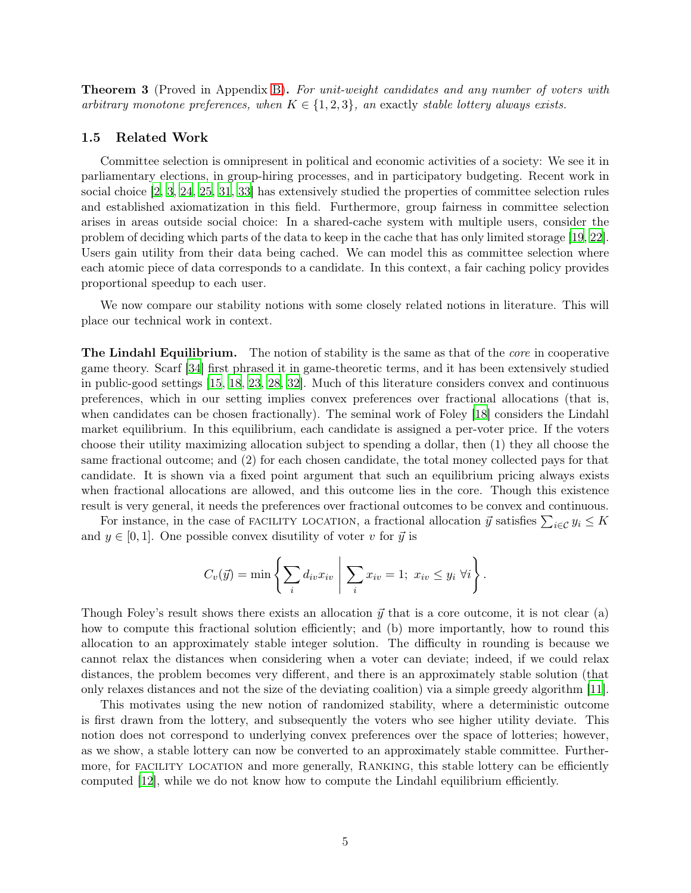<span id="page-5-1"></span>**Theorem 3** (Proved in Appendix [B\)](#page-16-0). For unit-weight candidates and any number of voters with arbitrary monotone preferences, when  $K \in \{1,2,3\}$ , an exactly stable lottery always exists.

#### <span id="page-5-0"></span>1.5 Related Work

Committee selection is omnipresent in political and economic activities of a society: We see it in parliamentary elections, in group-hiring processes, and in participatory budgeting. Recent work in social choice [\[2,](#page-13-1) [3,](#page-13-2) [24,](#page-14-13) [25,](#page-15-9) [31,](#page-15-10) [33](#page-15-2)] has extensively studied the properties of committee selection rules and established axiomatization in this field. Furthermore, group fairness in committee selection arises in areas outside social choice: In a shared-cache system with multiple users, consider the problem of deciding which parts of the data to keep in the cache that has only limited storage [\[19,](#page-14-14) [22\]](#page-14-15). Users gain utility from their data being cached. We can model this as committee selection where each atomic piece of data corresponds to a candidate. In this context, a fair caching policy provides proportional speedup to each user.

We now compare our stability notions with some closely related notions in literature. This will place our technical work in context.

**The Lindahl Equilibrium.** The notion of stability is the same as that of the *core* in cooperative game theory. Scarf [\[34](#page-15-5)] first phrased it in game-theoretic terms, and it has been extensively studied in public-good settings [\[15,](#page-14-1) [18](#page-14-8), [23](#page-14-9), [28,](#page-15-3) [32\]](#page-15-4). Much of this literature considers convex and continuous preferences, which in our setting implies convex preferences over fractional allocations (that is, when candidates can be chosen fractionally). The seminal work of Foley [\[18\]](#page-14-8) considers the Lindahl market equilibrium. In this equilibrium, each candidate is assigned a per-voter price. If the voters choose their utility maximizing allocation subject to spending a dollar, then (1) they all choose the same fractional outcome; and (2) for each chosen candidate, the total money collected pays for that candidate. It is shown via a fixed point argument that such an equilibrium pricing always exists when fractional allocations are allowed, and this outcome lies in the core. Though this existence result is very general, it needs the preferences over fractional outcomes to be convex and continuous.

For instance, in the case of FACILITY LOCATION, a fractional allocation  $\vec{y}$  satisfies  $\sum_{i \in \mathcal{C}} y_i \leq K$ and  $y \in [0, 1]$ . One possible convex disutility of voter v for  $\vec{y}$  is

$$
C_v(\vec{y}) = \min \left\{ \sum_i d_{iv} x_{iv} \mid \sum_i x_{iv} = 1; \ x_{iv} \leq y_i \ \forall i \right\}.
$$

Though Foley's result shows there exists an allocation  $\vec{y}$  that is a core outcome, it is not clear (a) how to compute this fractional solution efficiently; and (b) more importantly, how to round this allocation to an approximately stable integer solution. The difficulty in rounding is because we cannot relax the distances when considering when a voter can deviate; indeed, if we could relax distances, the problem becomes very different, and there is an approximately stable solution (that only relaxes distances and not the size of the deviating coalition) via a simple greedy algorithm [\[11\]](#page-14-0).

This motivates using the new notion of randomized stability, where a deterministic outcome is first drawn from the lottery, and subsequently the voters who see higher utility deviate. This notion does not correspond to underlying convex preferences over the space of lotteries; however, as we show, a stable lottery can now be converted to an approximately stable committee. Furthermore, for FACILITY LOCATION and more generally, RANKING, this stable lottery can be efficiently computed [\[12\]](#page-14-12), while we do not know how to compute the Lindahl equilibrium efficiently.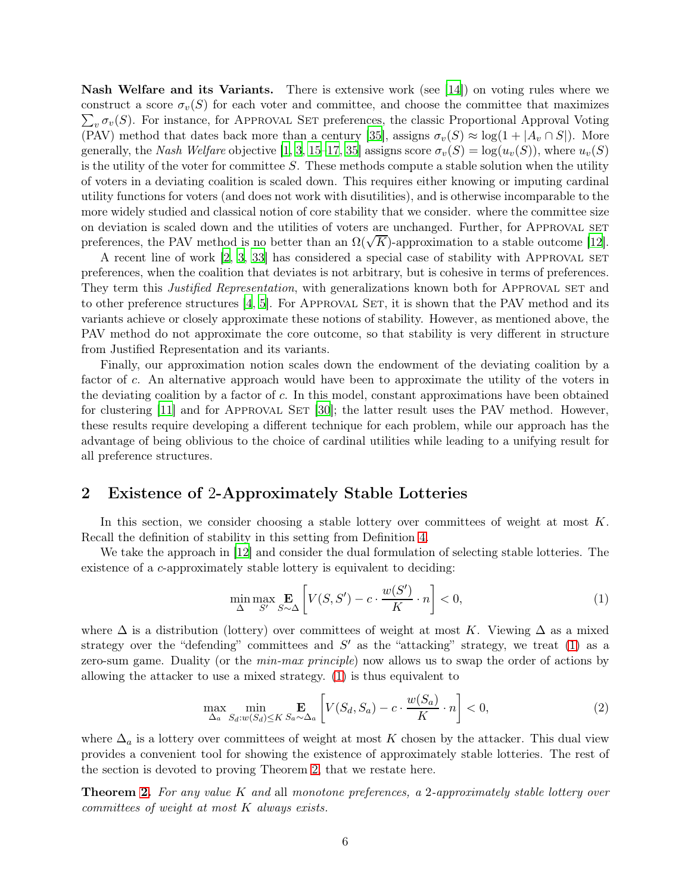Nash Welfare and its Variants. There is extensive work (see [\[14](#page-14-10)]) on voting rules where we  $\sum_{v} \sigma_{v}(S)$ . For instance, for APPROVAL SET preferences, the classic Proportional Approval Voting construct a score  $\sigma_v(S)$  for each voter and committee, and choose the committee that maximizes (PAV) method that dates back more than a century [\[35](#page-15-11)], assigns  $\sigma_v(S) \approx \log(1 + |A_v \cap S|)$ . More generally, the Nash Welfare objective [\[1](#page-13-4), [3,](#page-13-2) [15](#page-14-1)[–17,](#page-14-2) [35\]](#page-15-11) assigns score  $\sigma_v(S) = \log(u_v(S))$ , where  $u_v(S)$ is the utility of the voter for committee S. These methods compute a stable solution when the utility of voters in a deviating coalition is scaled down. This requires either knowing or imputing cardinal utility functions for voters (and does not work with disutilities), and is otherwise incomparable to the more widely studied and classical notion of core stability that we consider. where the committee size on deviation is scaled down and the utilities of voters are unchanged. Further, for APPROVAL SET preferences, the PAV method is no better than an  $\Omega(\sqrt{K})$ -approximation to a stable outcome [\[12\]](#page-14-12).

A recent line of work [\[2,](#page-13-1) [3](#page-13-2), [33](#page-15-2)] has considered a special case of stability with Approval set preferences, when the coalition that deviates is not arbitrary, but is cohesive in terms of preferences. They term this *Justified Representation*, with generalizations known both for APPROVAL SET and to other preference structures  $[4, 5]$  $[4, 5]$ . For APPROVAL SET, it is shown that the PAV method and its variants achieve or closely approximate these notions of stability. However, as mentioned above, the PAV method do not approximate the core outcome, so that stability is very different in structure from Justified Representation and its variants.

Finally, our approximation notion scales down the endowment of the deviating coalition by a factor of c. An alternative approach would have been to approximate the utility of the voters in the deviating coalition by a factor of c. In this model, constant approximations have been obtained for clustering  $[11]$  and for APPROVAL SET  $[30]$ ; the latter result uses the PAV method. However, these results require developing a different technique for each problem, while our approach has the advantage of being oblivious to the choice of cardinal utilities while leading to a unifying result for all preference structures.

## <span id="page-6-0"></span>2 Existence of 2-Approximately Stable Lotteries

In this section, we consider choosing a stable lottery over committees of weight at most K. Recall the definition of stability in this setting from Definition [4.](#page-4-1)

We take the approach in [\[12\]](#page-14-12) and consider the dual formulation of selecting stable lotteries. The existence of a c-approximately stable lottery is equivalent to deciding:

<span id="page-6-1"></span>
$$
\min_{\Delta} \max_{S'} \mathbf{E}_{S \sim \Delta} \left[ V(S, S') - c \cdot \frac{w(S')}{K} \cdot n \right] < 0,\tag{1}
$$

where  $\Delta$  is a distribution (lottery) over committees of weight at most K. Viewing  $\Delta$  as a mixed strategy over the "defending" committees and  $S'$  as the "attacking" strategy, we treat [\(1\)](#page-6-1) as a zero-sum game. Duality (or the *min-max principle*) now allows us to swap the order of actions by allowing the attacker to use a mixed strategy. [\(1\)](#page-6-1) is thus equivalent to

$$
\max_{\Delta_a} \min_{S_d: w(S_d) \le K} \mathbf{E}_{S_a \sim \Delta_a} \left[ V(S_d, S_a) - c \cdot \frac{w(S_a)}{K} \cdot n \right] < 0,\tag{2}
$$

where  $\Delta_a$  is a lottery over committees of weight at most K chosen by the attacker. This dual view provides a convenient tool for showing the existence of approximately stable lotteries. The rest of the section is devoted to proving Theorem [2,](#page-4-0) that we restate here.

**Theorem [2.](#page-4-0)** For any value K and all monotone preferences, a 2-approximately stable lottery over committees of weight at most K always exists.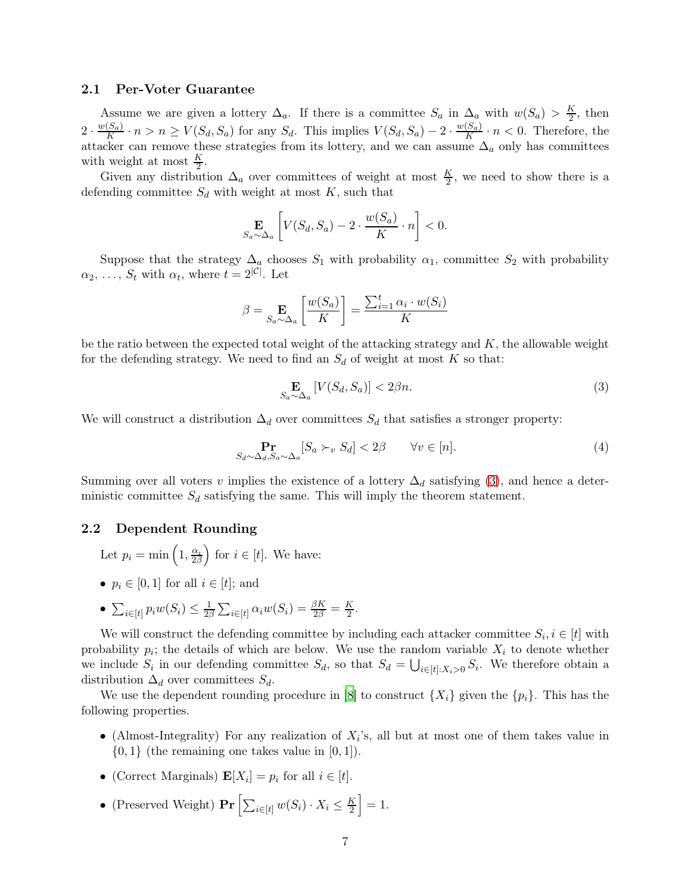#### 2.1 Per-Voter Guarantee

Assume we are given a lottery  $\Delta_a$ . If there is a committee  $S_a$  in  $\Delta_a$  with  $w(S_a) > \frac{K}{2}$  $\frac{\kappa}{2}$ , then  $2\cdot \frac{w(S_a)}{K}$  $\frac{(S_a)}{K} \cdot n > n \ge V(S_d, S_a)$  for any  $S_d$ . This implies  $V(S_d, S_a) - 2 \cdot \frac{w(S_a)}{K}$  $\frac{S_{a,j}}{K} \cdot n < 0$ . Therefore, the attacker can remove these strategies from its lottery, and we can assume  $\Delta_a$  only has committees with weight at most  $\frac{K}{2}$ .

Given any distribution  $\Delta_a$  over committees of weight at most  $\frac{K}{2}$ , we need to show there is a defending committee  $S_d$  with weight at most K, such that

$$
\mathop{\mathbf{E}}_{S_a \sim \Delta_a} \left[ V(S_d, S_a) - 2 \cdot \frac{w(S_a)}{K} \cdot n \right] < 0.
$$

Suppose that the strategy  $\Delta_a$  chooses  $S_1$  with probability  $\alpha_1$ , committee  $S_2$  with probability  $\alpha_2, \ldots, S_t$  with  $\alpha_t$ , where  $t = 2^{|C|}$ . Let

$$
\beta = \mathop{\mathbf{E}}_{S_a \sim \Delta_a} \left[ \frac{w(S_a)}{K} \right] = \frac{\sum_{i=1}^{t} \alpha_i \cdot w(S_i)}{K}
$$

be the ratio between the expected total weight of the attacking strategy and  $K$ , the allowable weight for the defending strategy. We need to find an  $S_d$  of weight at most K so that:

<span id="page-7-0"></span>
$$
\underset{S_a \sim \Delta_a}{\mathbf{E}} \left[ V(S_d, S_a) \right] < 2\beta n. \tag{3}
$$

We will construct a distribution  $\Delta_d$  over committees  $S_d$  that satisfies a stronger property:

<span id="page-7-1"></span>
$$
\Pr_{S_d \sim \Delta_d, S_a \sim \Delta_a} [S_a \succ_v S_d] < 2\beta \qquad \forall v \in [n]. \tag{4}
$$

Summing over all voters v implies the existence of a lottery  $\Delta_d$  satisfying [\(3\)](#page-7-0), and hence a deterministic committee  $S_d$  satisfying the same. This will imply the theorem statement.

#### 2.2 Dependent Rounding

- Let  $p_i = \min\left(1, \frac{\alpha_i}{2\beta}\right)$  for  $i \in [t]$ . We have:
- $p_i \in [0, 1]$  for all  $i \in [t]$ ; and
- $\sum_{i \in [t]} p_i w(S_i) \leq \frac{1}{2\beta} \sum_{i \in [t]} \alpha_i w(S_i) = \frac{\beta K}{2\beta} = \frac{K}{2}.$

We will construct the defending committee by including each attacker committee  $S_i, i \in [t]$  with probability  $p_i$ ; the details of which are below. We use the random variable  $X_i$  to denote whether we include  $S_i$  in our defending committee  $S_d$ , so that  $S_d = \bigcup_{i \in [t]: X_i > 0} S_i$ . We therefore obtain a distribution  $\Delta_d$  over committees  $S_d$ .

We use the dependent rounding procedure in [\[8](#page-13-7)] to construct  $\{X_i\}$  given the  $\{p_i\}$ . This has the following properties.

- (Almost-Integrality) For any realization of  $X_i$ 's, all but at most one of them takes value in  $\{0, 1\}$  (the remaining one takes value in  $[0, 1]$ ).
- (Correct Marginals)  $\mathbf{E}[X_i] = p_i$  for all  $i \in [t]$ .
- (Preserved Weight)  $Pr\left[\sum_{i \in [t]} w(S_i) \cdot X_i \leq \frac{K}{2}\right]$  $\left[\frac{K}{2}\right]=1.$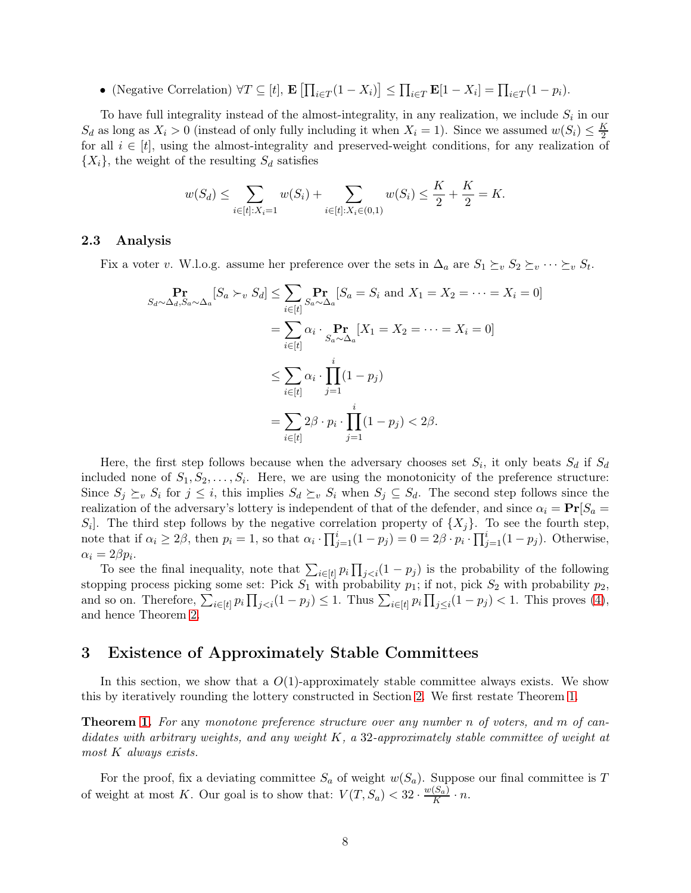• (Negative Correlation)  $\forall T \subseteq [t], \mathbf{E} \left[ \prod_{i \in T} (1 - X_i) \right] \leq \prod_{i \in T} \mathbf{E}[1 - X_i] = \prod_{i \in T} (1 - p_i).$ 

To have full integrality instead of the almost-integrality, in any realization, we include  $S_i$  in our  $S_d$  as long as  $X_i > 0$  (instead of only fully including it when  $X_i = 1$ ). Since we assumed  $w(S_i) \leq \frac{K}{2}$ 2 for all  $i \in [t]$ , using the almost-integrality and preserved-weight conditions, for any realization of  $\{X_i\}$ , the weight of the resulting  $S_d$  satisfies

$$
w(S_d) \le \sum_{i \in [t]: X_i = 1} w(S_i) + \sum_{i \in [t]: X_i \in (0,1)} w(S_i) \le \frac{K}{2} + \frac{K}{2} = K.
$$

#### 2.3 Analysis

Fix a voter v. W.l.o.g. assume her preference over the sets in  $\Delta_a$  are  $S_1 \succeq_v S_2 \succeq_v \cdots \succeq_v S_t$ .

$$
\Pr_{S_d \sim \Delta_d, S_a \sim \Delta_a} [S_a \succ_v S_d] \le \sum_{i \in [t]} \Pr_{S_a \sim \Delta_a} [S_a = S_i \text{ and } X_1 = X_2 = \dots = X_i = 0]
$$

$$
= \sum_{i \in [t]} \alpha_i \cdot \Pr_{S_a \sim \Delta_a} [X_1 = X_2 = \dots = X_i = 0]
$$

$$
\le \sum_{i \in [t]} \alpha_i \cdot \prod_{j=1}^i (1 - p_j)
$$

$$
= \sum_{i \in [t]} 2\beta \cdot p_i \cdot \prod_{j=1}^i (1 - p_j) < 2\beta.
$$

Here, the first step follows because when the adversary chooses set  $S_i$ , it only beats  $S_d$  if  $S_d$ included none of  $S_1, S_2, \ldots, S_i$ . Here, we are using the monotonicity of the preference structure: Since  $S_j \succeq_v S_i$  for  $j \leq i$ , this implies  $S_d \succeq_v S_i$  when  $S_j \subseteq S_d$ . The second step follows since the realization of the adversary's lottery is independent of that of the defender, and since  $\alpha_i = \Pr[S_a =$  $S_i$ . The third step follows by the negative correlation property of  $\{X_j\}$ . To see the fourth step, note that if  $\alpha_i \geq 2\beta$ , then  $p_i = 1$ , so that  $\alpha_i \cdot \prod_{j=1}^i (1 - p_j) = 0 = 2\beta \cdot p_i \cdot \prod_{j=1}^i (1 - p_j)$ . Otherwise,  $\alpha_i = 2\beta p_i.$ 

To see the final inequality, note that  $\sum_{i\in[t]} p_i \prod_{j is the probability of the following$ stopping process picking some set: Pick  $S_1$  with probability  $p_1$ ; if not, pick  $S_2$  with probability  $p_2$ , and so on. Therefore,  $\sum_{i\in[t]} p_i \prod_{j. Thus  $\sum_{i\in[t]} p_i \prod_{j\leq i} (1-p_j) < 1$ . This proves [\(4\)](#page-7-1),$ and hence Theorem [2.](#page-4-0)

### <span id="page-8-0"></span>3 Existence of Approximately Stable Committees

In this section, we show that a  $O(1)$ -approximately stable committee always exists. We show this by iteratively rounding the lottery constructed in Section [2.](#page-6-0) We first restate Theorem [1.](#page-3-1)

**Theorem [1.](#page-3-1)** For any monotone preference structure over any number n of voters, and m of candidates with arbitrary weights, and any weight  $K$ , a 32-approximately stable committee of weight at most K always exists.

For the proof, fix a deviating committee  $S_a$  of weight  $w(S_a)$ . Suppose our final committee is T of weight at most K. Our goal is to show that:  $V(T, S_a) < 32 \cdot \frac{w(S_a)}{K}$  $\frac{(S_a)}{K} \cdot n$ .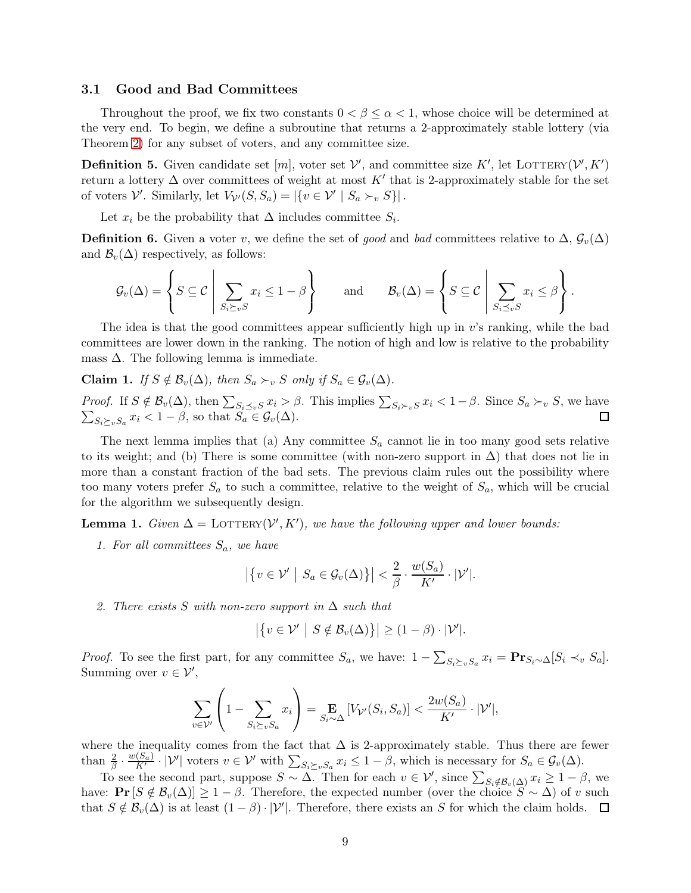#### 3.1 Good and Bad Committees

Throughout the proof, we fix two constants  $0 < \beta \leq \alpha < 1$ , whose choice will be determined at the very end. To begin, we define a subroutine that returns a 2-approximately stable lottery (via Theorem [2\)](#page-4-0) for any subset of voters, and any committee size.

**Definition 5.** Given candidate set  $[m]$ , voter set  $V'$ , and committee size K', let LOTTERY( $V', K'$ ) return a lottery  $\Delta$  over committees of weight at most K' that is 2-approximately stable for the set of voters  $\mathcal{V}'$ . Similarly, let  $V_{\mathcal{V}'}(S, S_a) = |\{v \in \mathcal{V}' \mid S_a \succ_v S\}|$ .

Let  $x_i$  be the probability that  $\Delta$  includes committee  $S_i$ .

**Definition 6.** Given a voter v, we define the set of good and bad committees relative to  $\Delta$ ,  $\mathcal{G}_v(\Delta)$ and  $\mathcal{B}_v(\Delta)$  respectively, as follows:

$$
\mathcal{G}_{v}(\Delta) = \left\{ S \subseteq \mathcal{C} \mid \sum_{S_{i} \succeq_{v} S} x_{i} \leq 1 - \beta \right\} \quad \text{and} \quad \mathcal{B}_{v}(\Delta) = \left\{ S \subseteq \mathcal{C} \mid \sum_{S_{i} \preceq_{v} S} x_{i} \leq \beta \right\}.
$$

The idea is that the good committees appear sufficiently high up in  $v$ 's ranking, while the bad committees are lower down in the ranking. The notion of high and low is relative to the probability mass  $\Delta$ . The following lemma is immediate.

<span id="page-9-0"></span>Claim 1. If  $S \notin \mathcal{B}_v(\Delta)$ , then  $S_a \succ_v S$  only if  $S_a \in \mathcal{G}_v(\Delta)$ .

*Proof.* If  $S \notin \mathcal{B}_{v}(\Delta)$ , then  $\sum_{S_i \preceq_v S} x_i > \beta$ . This implies  $\sum_{S_i \succ_v S} x_i < 1 - \beta$ . Since  $S_a \succ_v S$ , we have  $\sum_{S_i \succeq_v S_a} x_i < 1 - \beta$ , so that  $S_a \in \mathcal{G}_v(\Delta)$ .

The next lemma implies that (a) Any committee  $S_a$  cannot lie in too many good sets relative to its weight; and (b) There is some committee (with non-zero support in  $\Delta$ ) that does not lie in more than a constant fraction of the bad sets. The previous claim rules out the possibility where too many voters prefer  $S_a$  to such a committee, relative to the weight of  $S_a$ , which will be crucial for the algorithm we subsequently design.

<span id="page-9-1"></span>**Lemma 1.** Given  $\Delta =$  LOTTERY( $V', K'$ ), we have the following upper and lower bounds:

1. For all committees  $S_a$ , we have

$$
\left| \left\{ v \in \mathcal{V}' \middle| S_a \in \mathcal{G}_v(\Delta) \right\} \right| < \frac{2}{\beta} \cdot \frac{w(S_a)}{K'} \cdot |\mathcal{V}'|.
$$

2. There exists S with non-zero support in  $\Delta$  such that

$$
\left|\left\{v\in\mathcal{V}'\,\,\big|\,\,S\notin\mathcal{B}_v(\Delta)\right\}\right|\geq(1-\beta)\cdot|\mathcal{V}'|.
$$

*Proof.* To see the first part, for any committee  $S_a$ , we have:  $1 - \sum_{S_i \succeq_v S_a} x_i = \mathbf{Pr}_{S_i \sim \Delta} [S_i \prec_v S_a]$ . Summing over  $v \in \mathcal{V}'$ ,

$$
\sum_{v \in \mathcal{V}'} \left( 1 - \sum_{S_i \succeq_v S_a} x_i \right) = \mathop{\mathbf{E}}_{S_i \sim \Delta} \left[ V_{\mathcal{V}'}(S_i, S_a) \right] < \frac{2w(S_a)}{K'} \cdot |\mathcal{V}'|,
$$

where the inequality comes from the fact that  $\Delta$  is 2-approximately stable. Thus there are fewer than  $\frac{2}{\beta} \cdot \frac{w(S_a)}{K'} \cdot |\mathcal{V}'|$  voters  $v \in \mathcal{V}'$  with  $\sum_{S_i \succeq_v S_a} x_i \leq 1 - \beta$ , which is necessary for  $S_a \in \mathcal{G}_v(\Delta)$ .

To see the second part, suppose  $S \sim \Delta$ . Then for each  $v \in V'$ , since  $\sum_{S_i \notin \mathcal{B}_v(\Delta)} x_i \geq 1 - \beta$ , we have:  $\Pr[S \notin \mathcal{B}_v(\Delta)] \geq 1 - \beta$ . Therefore, the expected number (over the choice  $S \sim \Delta$ ) of v such that  $S \notin \mathcal{B}_v(\Delta)$  is at least  $(1 - \beta) \cdot |\mathcal{V}'|$ . Therefore, there exists an S for which the claim holds.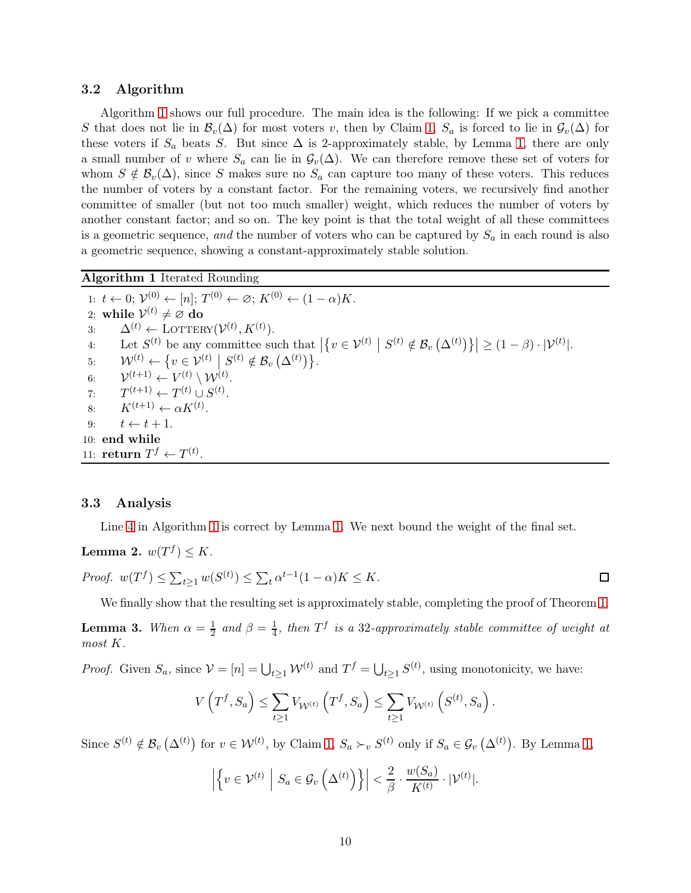#### 3.2 Algorithm

Algorithm [1](#page-10-0) shows our full procedure. The main idea is the following: If we pick a committee S that does not lie in  $\mathcal{B}_v(\Delta)$  for most voters v, then by Claim [1,](#page-9-0)  $S_a$  is forced to lie in  $\mathcal{G}_v(\Delta)$  for these voters if  $S_a$  beats S. But since  $\Delta$  is 2-approximately stable, by Lemma [1,](#page-9-1) there are only a small number of v where  $S_a$  can lie in  $\mathcal{G}_v(\Delta)$ . We can therefore remove these set of voters for whom  $S \notin \mathcal{B}_{v}(\Delta)$ , since S makes sure no  $S_a$  can capture too many of these voters. This reduces the number of voters by a constant factor. For the remaining voters, we recursively find another committee of smaller (but not too much smaller) weight, which reduces the number of voters by another constant factor; and so on. The key point is that the total weight of all these committees is a geometric sequence, and the number of voters who can be captured by  $S_a$  in each round is also a geometric sequence, showing a constant-approximately stable solution.

<span id="page-10-0"></span>Algorithm 1 Iterated Rounding

1:  $t \leftarrow 0; \mathcal{V}_{(0)}^{(0)} \leftarrow [n]; T^{(0)} \leftarrow \emptyset; K^{(0)} \leftarrow (1-\alpha)K.$ 2: while  $\mathcal{V}^{(t)} \neq \varnothing$  do 3:  $\Delta^{(t)} \leftarrow$  LOTTERY $(\mathcal{V}^{(t)}, K^{(t)})$ . 4: Let  $S^{(t)}$  be any committee such that  $\left|\left\{v \in \mathcal{V}^{(t)} \mid S^{(t)} \notin \mathcal{B}_v\left(\Delta^{(t)}\right)\right\}\right| \geq (1-\beta) \cdot |\mathcal{V}^{(t)}|.$ 5:  $\mathcal{W}^{(t)} \leftarrow \{v \in \mathcal{V}^{(t)} \mid S^{(t)} \notin \mathcal{B}_v \left( \Delta^{(t)} \right) \}.$  $rac{6}{7}$  $(t+1) \leftarrow V^{(t)} \setminus \mathcal{W}^{(t)}.$ 7:  $T^{(t+1)} \leftarrow T^{(t)} \cup S^{(t)}.$ 8:  $K^{(t+1)} \leftarrow \alpha K^{(t)}$ . 9:  $t \leftarrow t + 1$ . 10: end while 11: **return**  $T^f \leftarrow T^{(t)}$ .

#### 3.3 Analysis

Line [4](#page-10-0) in Algorithm [1](#page-10-0) is correct by Lemma [1.](#page-9-1) We next bound the weight of the final set.

**Lemma 2.**  $w(T^f) \leq K$ .

*Proof.* 
$$
w(T^f) \le \sum_{t \ge 1} w(S^{(t)}) \le \sum_t \alpha^{t-1} (1-\alpha)K \le K.
$$

We finally show that the resulting set is approximately stable, completing the proof of Theorem [1.](#page-3-1)

**Lemma 3.** When  $\alpha = \frac{1}{2}$  $rac{1}{2}$  and  $\beta = \frac{1}{4}$  $\frac{1}{4}$ , then  $T^f$  is a 32-approximately stable committee of weight at most K.

*Proof.* Given  $S_a$ , since  $V = [n] = \bigcup_{t \geq 1} W^{(t)}$  and  $T^f = \bigcup_{t \geq 1} S^{(t)}$ , using monotonicity, we have:

$$
V\left(T^f, S_a\right) \le \sum_{t \ge 1} V_{\mathcal{W}^{(t)}}\left(T^f, S_a\right) \le \sum_{t \ge 1} V_{\mathcal{W}^{(t)}}\left(S^{(t)}, S_a\right).
$$

Since  $S^{(t)} \notin \mathcal{B}_{v}(\Delta^{(t)})$  for  $v \in \mathcal{W}^{(t)}$ , by Claim [1,](#page-9-1)  $S_a \succ_v S^{(t)}$  only if  $S_a \in \mathcal{G}_v(\Delta^{(t)})$ . By Lemma 1,

$$
\left| \left\{ v \in \mathcal{V}^{(t)} \; \left| \; S_a \in \mathcal{G}_v \left( \Delta^{(t)} \right) \right\} \right| < \frac{2}{\beta} \cdot \frac{w(S_a)}{K^{(t)}} \cdot |\mathcal{V}^{(t)}|.
$$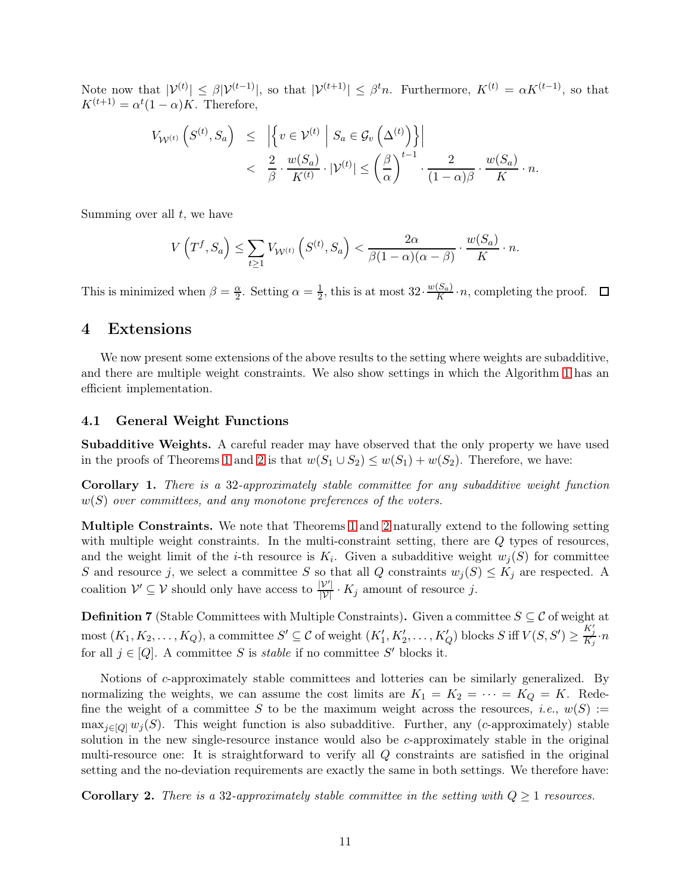Note now that  $|\mathcal{V}^{(t)}| \leq \beta |\mathcal{V}^{(t-1)}|$ , so that  $|\mathcal{V}^{(t+1)}| \leq \beta^t n$ . Furthermore,  $K^{(t)} = \alpha K^{(t-1)}$ , so that  $K^{(t+1)} = \alpha^t (1-\alpha) K$ . Therefore,

$$
V_{\mathcal{W}^{(t)}}\left(S^{(t)}, S_a\right) \leq \left| \left\{ v \in \mathcal{V}^{(t)} \; \middle| \; S_a \in \mathcal{G}_v\left(\Delta^{(t)}\right) \right\} \right|
$$
  

$$
< \frac{2}{\beta} \cdot \frac{w(S_a)}{K^{(t)}} \cdot |\mathcal{V}^{(t)}| \leq \left(\frac{\beta}{\alpha}\right)^{t-1} \cdot \frac{2}{(1-\alpha)\beta} \cdot \frac{w(S_a)}{K} \cdot n.
$$

Summing over all  $t$ , we have

$$
V\left(T^f, S_a\right) \le \sum_{t \ge 1} V_{\mathcal{W}^{(t)}}\left(S^{(t)}, S_a\right) < \frac{2\alpha}{\beta(1-\alpha)(\alpha-\beta)} \cdot \frac{w(S_a)}{K} \cdot n.
$$

This is minimized when  $\beta = \frac{\alpha}{2}$  $\frac{\alpha}{2}$ . Setting  $\alpha = \frac{1}{2}$  $\frac{1}{2}$ , this is at most  $32 \cdot \frac{w(S_a)}{K}$  $\frac{S_a}{K} \cdot n$ , completing the proof.

## <span id="page-11-0"></span>4 Extensions

We now present some extensions of the above results to the setting where weights are subadditive, and there are multiple weight constraints. We also show settings in which the Algorithm [1](#page-10-0) has an efficient implementation.

#### 4.1 General Weight Functions

Subadditive Weights. A careful reader may have observed that the only property we have used in the proofs of Theorems [1](#page-3-1) and [2](#page-4-0) is that  $w(S_1 \cup S_2) \leq w(S_1) + w(S_2)$ . Therefore, we have:

Corollary 1. There is a 32-approximately stable committee for any subadditive weight function  $w(S)$  over committees, and any monotone preferences of the voters.

Multiple Constraints. We note that Theorems [1](#page-3-1) and [2](#page-4-0) naturally extend to the following setting with multiple weight constraints. In the multi-constraint setting, there are Q types of resources, and the weight limit of the *i*-th resource is  $K_i$ . Given a subadditive weight  $w_j(S)$  for committee S and resource j, we select a committee S so that all Q constraints  $w_j(S) \leq K_j$  are respected. A coalition  $\mathcal{V}' \subseteq \mathcal{V}$  should only have access to  $\frac{|\mathcal{V}'|}{|\mathcal{V}|} \cdot K_j$  amount of resource j.

**Definition 7** (Stable Committees with Multiple Constraints). Given a committee  $S \subseteq \mathcal{C}$  of weight at  $\text{most } (K_1, K_2, \ldots, K_Q)$ , a committee  $S' \subseteq \mathcal{C}$  of weight  $(K'_1, K'_2, \ldots, K'_Q)$  blocks  $S$  iff  $V(S, S') \geq \frac{K'_j}{K_j} \cdot n$ for all  $j \in [Q]$ . A committee S is *stable* if no committee S' blocks it.

Notions of c-approximately stable committees and lotteries can be similarly generalized. By normalizing the weights, we can assume the cost limits are  $K_1 = K_2 = \cdots = K_Q = K$ . Redefine the weight of a committee S to be the maximum weight across the resources, *i.e.*,  $w(S) :=$  $\max_{i\in[0]} w_i(S)$ . This weight function is also subadditive. Further, any (c-approximately) stable solution in the new single-resource instance would also be c-approximately stable in the original multi-resource one: It is straightforward to verify all Q constraints are satisfied in the original setting and the no-deviation requirements are exactly the same in both settings. We therefore have:

**Corollary 2.** There is a 32-approximately stable committee in the setting with  $Q \geq 1$  resources.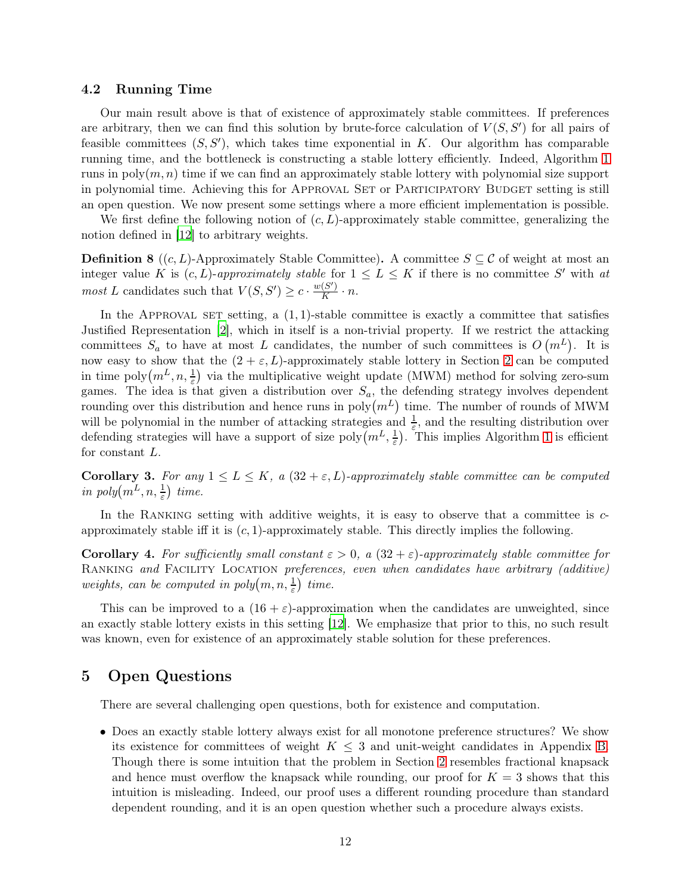#### 4.2 Running Time

Our main result above is that of existence of approximately stable committees. If preferences are arbitrary, then we can find this solution by brute-force calculation of  $V(S, S')$  for all pairs of feasible committees  $(S, S')$ , which takes time exponential in K. Our algorithm has comparable running time, and the bottleneck is constructing a stable lottery efficiently. Indeed, Algorithm [1](#page-10-0) runs in  $poly(m, n)$  time if we can find an approximately stable lottery with polynomial size support in polynomial time. Achieving this for APPROVAL SET or PARTICIPATORY BUDGET setting is still an open question. We now present some settings where a more efficient implementation is possible.

We first define the following notion of  $(c, L)$ -approximately stable committee, generalizing the notion defined in [\[12\]](#page-14-12) to arbitrary weights.

**Definition 8** ((c, L)-Approximately Stable Committee). A committee  $S \subseteq \mathcal{C}$  of weight at most an integer value K is  $(c, L)$ -approximately stable for  $1 \le L \le K$  if there is no committee S' with at *most* L candidates such that  $V(S, S') \geq c \cdot \frac{w(S')}{K}$  $\frac{(S)}{K} \cdot n$ .

In the APPROVAL SET setting, a  $(1, 1)$ -stable committee is exactly a committee that satisfies Justified Representation [\[2](#page-13-1)], which in itself is a non-trivial property. If we restrict the attacking committees  $S_a$  to have at most L candidates, the number of such committees is  $O(m^L)$ . It is now easy to show that the  $(2 + \varepsilon, L)$ -approximately stable lottery in Section [2](#page-6-0) can be computed in time  $\text{poly}(m^L, n, \frac{1}{\varepsilon})$  via the multiplicative weight update (MWM) method for solving zero-sum games. The idea is that given a distribution over  $S_a$ , the defending strategy involves dependent rounding over this distribution and hence runs in  $\text{poly}(m^L)$  time. The number of rounds of MWM will be polynomial in the number of attacking strategies and  $\frac{1}{\varepsilon}$ , and the resulting distribution over defending strategies will have a support of size  $poly(m^L, \frac{1}{\varepsilon}))$  $(\frac{1}{\varepsilon})$ . This implies Algorithm [1](#page-10-0) is efficient for constant L.

Corollary 3. For any  $1 \le L \le K$ , a  $(32 + \varepsilon, L)$ -approximately stable committee can be computed in  $poly(m^L, n, \frac{1}{\varepsilon})$  time.

In the RANKING setting with additive weights, it is easy to observe that a committee is  $c$ approximately stable iff it is  $(c, 1)$ -approximately stable. This directly implies the following.

Corollary 4. For sufficiently small constant  $\varepsilon > 0$ , a  $(32 + \varepsilon)$ -approximately stable committee for RANKING and FACILITY LOCATION preferences, even when candidates have arbitrary (additive) weights, can be computed in  $poly(m, n, \frac{1}{\varepsilon})$  time.

This can be improved to a  $(16 + \varepsilon)$ -approximation when the candidates are unweighted, since an exactly stable lottery exists in this setting [\[12\]](#page-14-12). We emphasize that prior to this, no such result was known, even for existence of an approximately stable solution for these preferences.

## <span id="page-12-0"></span>5 Open Questions

There are several challenging open questions, both for existence and computation.

• Does an exactly stable lottery always exist for all monotone preference structures? We show its existence for committees of weight  $K \leq 3$  and unit-weight candidates in Appendix [B.](#page-16-0) Though there is some intuition that the problem in Section [2](#page-6-0) resembles fractional knapsack and hence must overflow the knapsack while rounding, our proof for  $K = 3$  shows that this intuition is misleading. Indeed, our proof uses a different rounding procedure than standard dependent rounding, and it is an open question whether such a procedure always exists.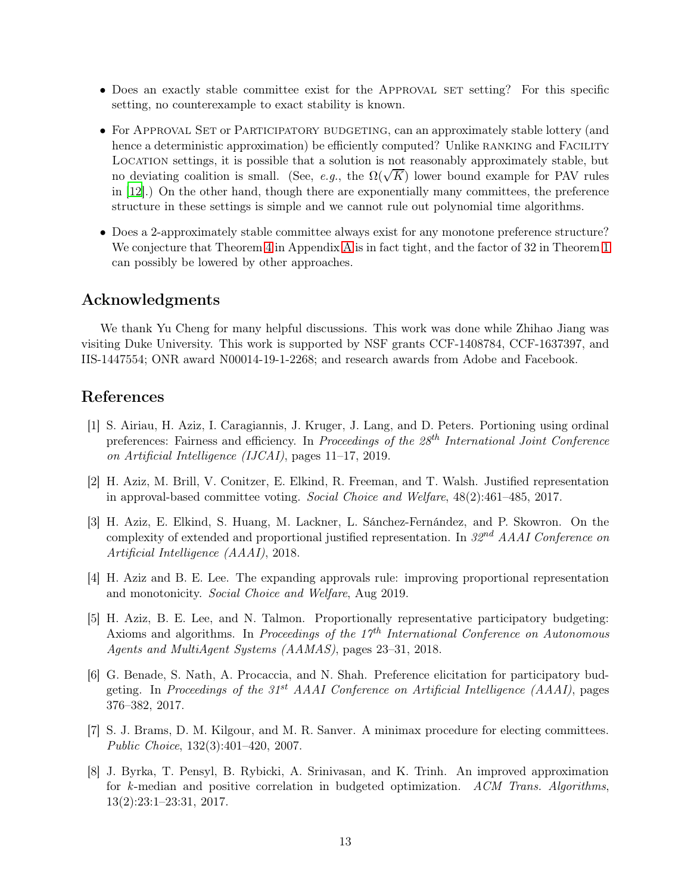- Does an exactly stable committee exist for the APPROVAL SET setting? For this specific setting, no counterexample to exact stability is known.
- For APPROVAL SET or PARTICIPATORY BUDGETING, can an approximately stable lottery (and hence a deterministic approximation) be efficiently computed? Unlike RANKING and FACILITY Location settings, it is possible that a solution is not reasonably approximately stable, but no deviating coalition is small. (See, e.g., the  $\Omega(\sqrt{K})$  lower bound example for PAV rules in [\[12\]](#page-14-12).) On the other hand, though there are exponentially many committees, the preference structure in these settings is simple and we cannot rule out polynomial time algorithms.
- Does a 2-approximately stable committee always exist for any monotone preference structure? We conjecture that Theorem [4](#page-15-8) in [A](#page-15-7)ppendix A is in fact tight, and the factor of 32 in Theorem [1](#page-3-1) can possibly be lowered by other approaches.

## Acknowledgments

We thank Yu Cheng for many helpful discussions. This work was done while Zhihao Jiang was visiting Duke University. This work is supported by NSF grants CCF-1408784, CCF-1637397, and IIS-1447554; ONR award N00014-19-1-2268; and research awards from Adobe and Facebook.

## References

- <span id="page-13-4"></span>[1] S. Airiau, H. Aziz, I. Caragiannis, J. Kruger, J. Lang, and D. Peters. Portioning using ordinal preferences: Fairness and efficiency. In Proceedings of the  $28<sup>th</sup> International Joint Conference$ on Artificial Intelligence (IJCAI), pages 11–17, 2019.
- <span id="page-13-1"></span>[2] H. Aziz, M. Brill, V. Conitzer, E. Elkind, R. Freeman, and T. Walsh. Justified representation in approval-based committee voting. Social Choice and Welfare, 48(2):461–485, 2017.
- <span id="page-13-2"></span>[3] H. Aziz, E. Elkind, S. Huang, M. Lackner, L. Sánchez-Fernández, and P. Skowron. On the complexity of extended and proportional justified representation. In  $32^{nd}$  AAAI Conference on Artificial Intelligence (AAAI), 2018.
- <span id="page-13-5"></span>[4] H. Aziz and B. E. Lee. The expanding approvals rule: improving proportional representation and monotonicity. Social Choice and Welfare, Aug 2019.
- <span id="page-13-6"></span>[5] H. Aziz, B. E. Lee, and N. Talmon. Proportionally representative participatory budgeting: Axioms and algorithms. In Proceedings of the  $17<sup>th</sup>$  International Conference on Autonomous Agents and MultiAgent Systems (AAMAS), pages 23–31, 2018.
- <span id="page-13-0"></span>[6] G. Benade, S. Nath, A. Procaccia, and N. Shah. Preference elicitation for participatory budgeting. In Proceedings of the  $31^{st}$  AAAI Conference on Artificial Intelligence (AAAI), pages 376–382, 2017.
- <span id="page-13-3"></span>[7] S. J. Brams, D. M. Kilgour, and M. R. Sanver. A minimax procedure for electing committees. Public Choice, 132(3):401–420, 2007.
- <span id="page-13-7"></span>[8] J. Byrka, T. Pensyl, B. Rybicki, A. Srinivasan, and K. Trinh. An improved approximation for k-median and positive correlation in budgeted optimization. ACM Trans. Algorithms, 13(2):23:1–23:31, 2017.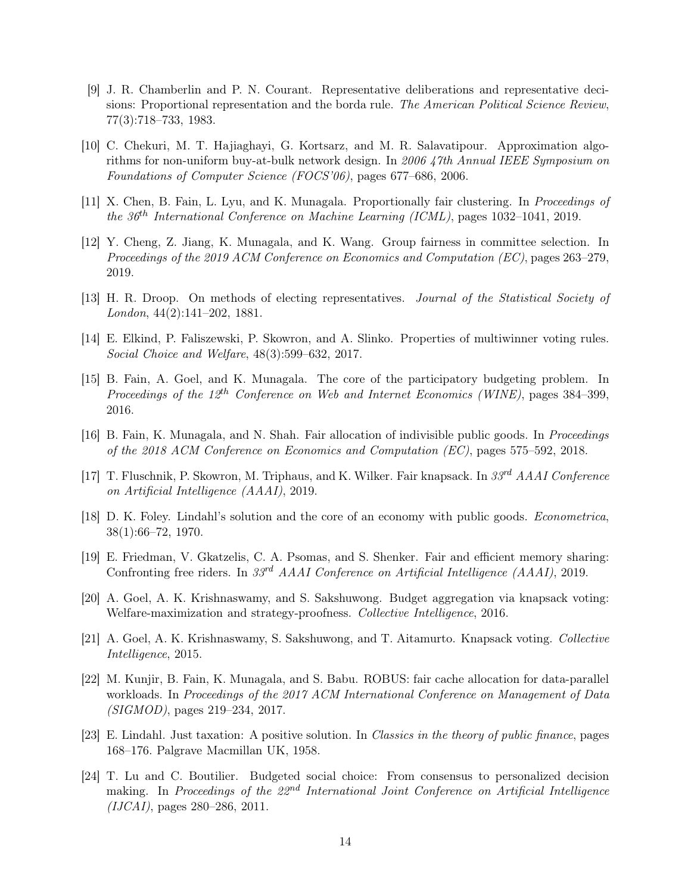- <span id="page-14-6"></span>[9] J. R. Chamberlin and P. N. Courant. Representative deliberations and representative decisions: Proportional representation and the borda rule. The American Political Science Review, 77(3):718–733, 1983.
- <span id="page-14-11"></span>[10] C. Chekuri, M. T. Hajiaghayi, G. Kortsarz, and M. R. Salavatipour. Approximation algorithms for non-uniform buy-at-bulk network design. In 2006 47th Annual IEEE Symposium on Foundations of Computer Science (FOCS'06), pages 677–686, 2006.
- <span id="page-14-0"></span>[11] X. Chen, B. Fain, L. Lyu, and K. Munagala. Proportionally fair clustering. In Proceedings of the  $36<sup>th</sup> International Conference on Machine Learning (ICML)$ , pages 1032-1041, 2019.
- <span id="page-14-12"></span>[12] Y. Cheng, Z. Jiang, K. Munagala, and K. Wang. Group fairness in committee selection. In Proceedings of the 2019 ACM Conference on Economics and Computation (EC), pages 263–279, 2019.
- <span id="page-14-5"></span>[13] H. R. Droop. On methods of electing representatives. Journal of the Statistical Society of London, 44(2):141–202, 1881.
- <span id="page-14-10"></span>[14] E. Elkind, P. Faliszewski, P. Skowron, and A. Slinko. Properties of multiwinner voting rules. Social Choice and Welfare, 48(3):599–632, 2017.
- <span id="page-14-1"></span>[15] B. Fain, A. Goel, and K. Munagala. The core of the participatory budgeting problem. In Proceedings of the  $12^{th}$  Conference on Web and Internet Economics (WINE), pages 384–399, 2016.
- <span id="page-14-7"></span>[16] B. Fain, K. Munagala, and N. Shah. Fair allocation of indivisible public goods. In Proceedings of the 2018 ACM Conference on Economics and Computation (EC), pages 575–592, 2018.
- <span id="page-14-2"></span>[17] T. Fluschnik, P. Skowron, M. Triphaus, and K. Wilker. Fair knapsack. In 33rd AAAI Conference on Artificial Intelligence (AAAI), 2019.
- <span id="page-14-8"></span>[18] D. K. Foley. Lindahl's solution and the core of an economy with public goods. Econometrica, 38(1):66–72, 1970.
- <span id="page-14-14"></span>[19] E. Friedman, V. Gkatzelis, C. A. Psomas, and S. Shenker. Fair and efficient memory sharing: Confronting free riders. In 33<sup>rd</sup> AAAI Conference on Artificial Intelligence (AAAI), 2019.
- <span id="page-14-3"></span>[20] A. Goel, A. K. Krishnaswamy, and S. Sakshuwong. Budget aggregation via knapsack voting: Welfare-maximization and strategy-proofness. Collective Intelligence, 2016.
- <span id="page-14-4"></span>[21] A. Goel, A. K. Krishnaswamy, S. Sakshuwong, and T. Aitamurto. Knapsack voting. Collective Intelligence, 2015.
- <span id="page-14-15"></span>[22] M. Kunjir, B. Fain, K. Munagala, and S. Babu. ROBUS: fair cache allocation for data-parallel workloads. In Proceedings of the 2017 ACM International Conference on Management of Data (SIGMOD), pages 219–234, 2017.
- <span id="page-14-9"></span>[23] E. Lindahl. Just taxation: A positive solution. In Classics in the theory of public finance, pages 168–176. Palgrave Macmillan UK, 1958.
- <span id="page-14-13"></span>[24] T. Lu and C. Boutilier. Budgeted social choice: From consensus to personalized decision making. In Proceedings of the  $22^{nd}$  International Joint Conference on Artificial Intelligence (IJCAI), pages 280–286, 2011.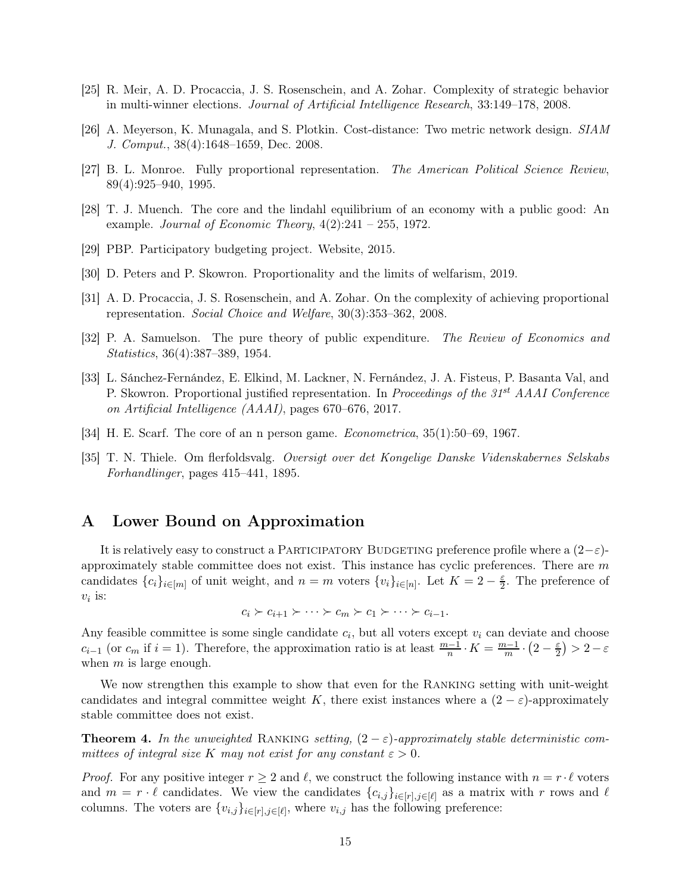- <span id="page-15-9"></span>[25] R. Meir, A. D. Procaccia, J. S. Rosenschein, and A. Zohar. Complexity of strategic behavior in multi-winner elections. Journal of Artificial Intelligence Research, 33:149–178, 2008.
- <span id="page-15-6"></span>[26] A. Meyerson, K. Munagala, and S. Plotkin. Cost-distance: Two metric network design. SIAM J. Comput., 38(4):1648–1659, Dec. 2008.
- <span id="page-15-1"></span>[27] B. L. Monroe. Fully proportional representation. The American Political Science Review, 89(4):925–940, 1995.
- <span id="page-15-3"></span>[28] T. J. Muench. The core and the lindahl equilibrium of an economy with a public good: An example. Journal of Economic Theory,  $4(2):241 - 255$ , 1972.
- <span id="page-15-0"></span>[29] PBP. Participatory budgeting project. Website, 2015.
- <span id="page-15-12"></span>[30] D. Peters and P. Skowron. Proportionality and the limits of welfarism, 2019.
- <span id="page-15-10"></span>[31] A. D. Procaccia, J. S. Rosenschein, and A. Zohar. On the complexity of achieving proportional representation. Social Choice and Welfare, 30(3):353–362, 2008.
- <span id="page-15-4"></span>[32] P. A. Samuelson. The pure theory of public expenditure. The Review of Economics and Statistics, 36(4):387–389, 1954.
- <span id="page-15-2"></span>[33] L. Sánchez-Fernández, E. Elkind, M. Lackner, N. Fernández, J. A. Fisteus, P. Basanta Val, and P. Skowron. Proportional justified representation. In Proceedings of the 31<sup>st</sup> AAAI Conference on Artificial Intelligence (AAAI), pages 670–676, 2017.
- <span id="page-15-5"></span>[34] H. E. Scarf. The core of an n person game. Econometrica, 35(1):50–69, 1967.
- <span id="page-15-11"></span>[35] T. N. Thiele. Om flerfoldsvalg. Oversigt over det Kongelige Danske Videnskabernes Selskabs Forhandlinger, pages 415–441, 1895.

## <span id="page-15-7"></span>A Lower Bound on Approximation

It is relatively easy to construct a PARTICIPATORY BUDGETING preference profile where a  $(2-\varepsilon)$ approximately stable committee does not exist. This instance has cyclic preferences. There are  $m$ candidates  $\{c_i\}_{i\in[m]}$  of unit weight, and  $n=m$  voters  $\{v_i\}_{i\in[n]}$ . Let  $K=2-\frac{\varepsilon}{2}$  $\frac{\varepsilon}{2}$ . The preference of  $v_i$  is:

$$
c_i \succ c_{i+1} \succ \cdots \succ c_m \succ c_1 \succ \cdots \succ c_{i-1}.
$$

Any feasible committee is some single candidate  $c_i$ , but all voters except  $v_i$  can deviate and choose  $c_{i-1}$  (or  $c_m$  if  $i = 1$ ). Therefore, the approximation ratio is at least  $\frac{m-1}{n} \cdot K = \frac{m-1}{m} \cdot \left(2 - \frac{\varepsilon}{2}\right)$  $\frac{\varepsilon}{2}$ ) > 2 –  $\varepsilon$ when  $m$  is large enough.

We now strengthen this example to show that even for the RANKING setting with unit-weight candidates and integral committee weight K, there exist instances where a  $(2 - \varepsilon)$ -approximately stable committee does not exist.

<span id="page-15-8"></span>**Theorem 4.** In the unweighted RANKING setting,  $(2 - \varepsilon)$ -approximately stable deterministic committees of integral size K may not exist for any constant  $\varepsilon > 0$ .

*Proof.* For any positive integer  $r \geq 2$  and  $\ell$ , we construct the following instance with  $n = r \cdot \ell$  voters and  $m = r \cdot \ell$  candidates. We view the candidates  $\{c_{i,j}\}_{i \in [r], j \in [\ell]}$  as a matrix with r rows and  $\ell$ columns. The voters are  $\{v_{i,j}\}_{i\in[r],j\in[\ell]}$ , where  $v_{i,j}$  has the following preference: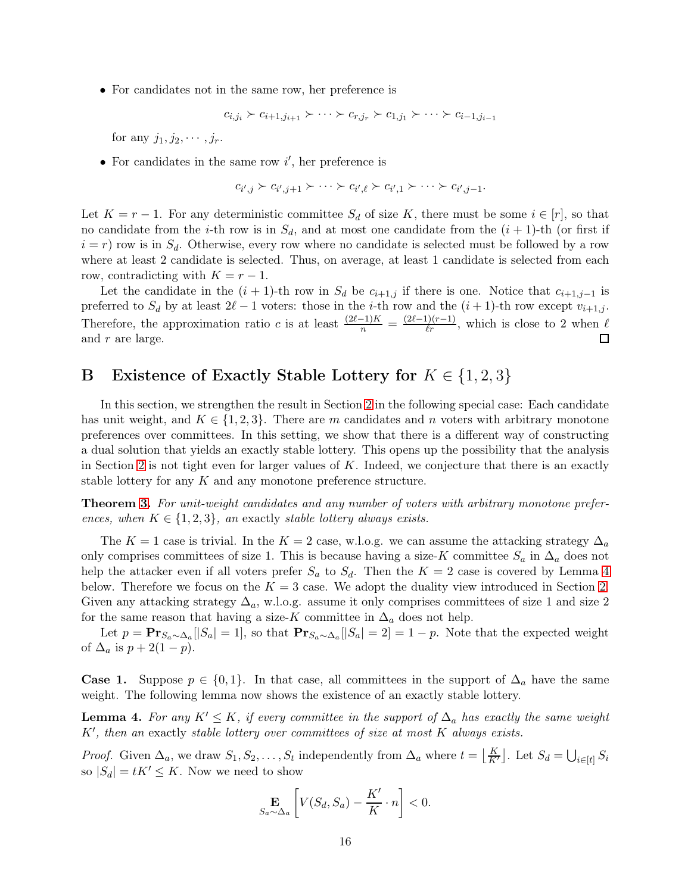• For candidates not in the same row, her preference is

$$
c_{i,j_i} \succ c_{i+1,j_{i+1}} \succ \cdots \succ c_{r,j_r} \succ c_{1,j_1} \succ \cdots \succ c_{i-1,j_{i-1}}
$$

for any  $j_1, j_2, \cdots, j_r$ .

• For candidates in the same row  $i'$ , her preference is

$$
c_{i',j} \succ c_{i',j+1} \succ \cdots \succ c_{i',\ell} \succ c_{i',1} \succ \cdots \succ c_{i',j-1}.
$$

Let  $K = r - 1$ . For any deterministic committee  $S_d$  of size K, there must be some  $i \in [r]$ , so that no candidate from the *i*-th row is in  $S_d$ , and at most one candidate from the  $(i + 1)$ -th (or first if  $i = r$ ) row is in  $S_d$ . Otherwise, every row where no candidate is selected must be followed by a row where at least 2 candidate is selected. Thus, on average, at least 1 candidate is selected from each row, contradicting with  $K = r - 1$ .

Let the candidate in the  $(i + 1)$ -th row in  $S_d$  be  $c_{i+1,j}$  if there is one. Notice that  $c_{i+1,j-1}$  is preferred to  $S_d$  by at least  $2\ell-1$  voters: those in the *i*-th row and the  $(i + 1)$ -th row except  $v_{i+1,j}$ . Therefore, the approximation ratio c is at least  $\frac{(2\ell-1)K}{n} = \frac{(2\ell-1)(r-1)}{\ell r}$ , which is close to 2 when  $\ell$ and r are large. □

## <span id="page-16-0"></span>B Existence of Exactly Stable Lottery for  $K \in \{1,2,3\}$

In this section, we strengthen the result in Section [2](#page-6-0) in the following special case: Each candidate has unit weight, and  $K \in \{1,2,3\}$ . There are m candidates and n voters with arbitrary monotone preferences over committees. In this setting, we show that there is a different way of constructing a dual solution that yields an exactly stable lottery. This opens up the possibility that the analysis in Section [2](#page-6-0) is not tight even for larger values of  $K$ . Indeed, we conjecture that there is an exactly stable lottery for any  $K$  and any monotone preference structure.

**Theorem [3.](#page-5-1)** For unit-weight candidates and any number of voters with arbitrary monotone preferences, when  $K \in \{1, 2, 3\}$ , an exactly stable lottery always exists.

The K = 1 case is trivial. In the K = 2 case, w.l.o.g. we can assume the attacking strategy  $\Delta_a$ only comprises committees of size 1. This is because having a size-K committee  $S_a$  in  $\Delta_a$  does not help the attacker even if all voters prefer  $S_a$  to  $S_d$ . Then the  $K = 2$  case is covered by Lemma [4](#page-16-1) below. Therefore we focus on the  $K = 3$  case. We adopt the duality view introduced in Section [2.](#page-6-0) Given any attacking strategy  $\Delta_a$ , w.l.o.g. assume it only comprises committees of size 1 and size 2 for the same reason that having a size-K committee in  $\Delta_a$  does not help.

Let  $p = \mathbf{Pr}_{S_a \sim \Delta_a}[|S_a| = 1]$ , so that  $\mathbf{Pr}_{S_a \sim \Delta_a}[|S_a| = 2] = 1 - p$ . Note that the expected weight of  $\Delta_a$  is  $p + 2(1 - p)$ .

**Case 1.** Suppose  $p \in \{0, 1\}$ . In that case, all committees in the support of  $\Delta_a$  have the same weight. The following lemma now shows the existence of an exactly stable lottery.

<span id="page-16-1"></span>**Lemma 4.** For any  $K' \leq K$ , if every committee in the support of  $\Delta_a$  has exactly the same weight K', then an exactly stable lottery over committees of size at most K always exists.

*Proof.* Given  $\Delta_a$ , we draw  $S_1, S_2, \ldots, S_t$  independently from  $\Delta_a$  where  $t = \lfloor \frac{K}{K'} \rfloor$ . Let  $S_d = \bigcup_{i \in [t]} S_i$ so  $|S_d| = tK' \leq K$ . Now we need to show

$$
\mathop{\mathbf{E}}_{S_a \sim \Delta_a} \left[ V(S_d, S_a) - \frac{K'}{K} \cdot n \right] < 0.
$$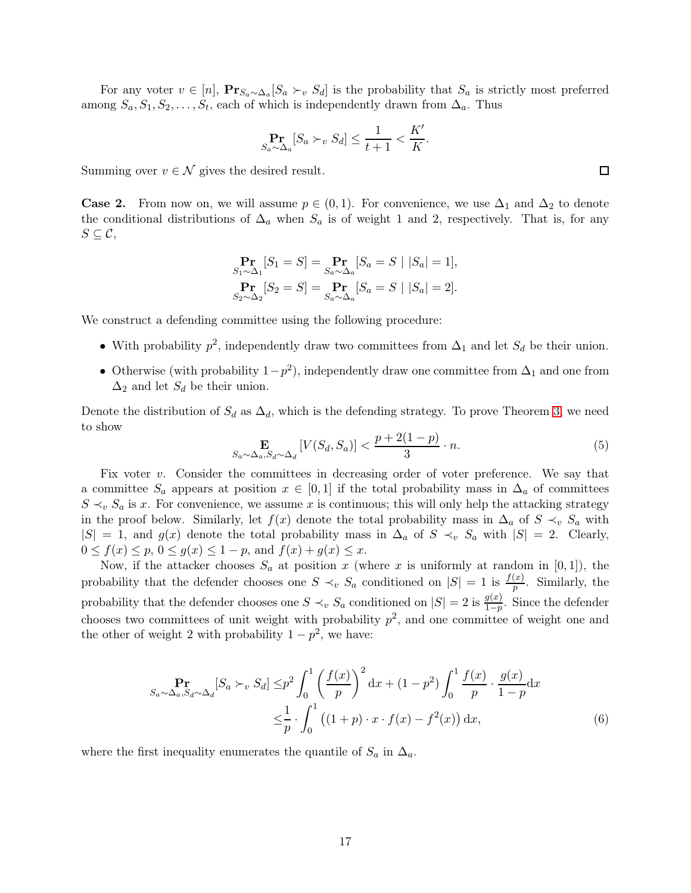For any voter  $v \in [n]$ ,  $\mathbf{Pr}_{S_a \sim \Delta_a}[S_a \succ_v S_d]$  is the probability that  $S_a$  is strictly most preferred among  $S_a, S_1, S_2, \ldots, S_t$ , each of which is independently drawn from  $\Delta_a$ . Thus

$$
\Pr_{S_a \sim \Delta_a}[S_a \succ_v S_d] \le \frac{1}{t+1} < \frac{K'}{K}.
$$

Summing over  $v \in \mathcal{N}$  gives the desired result.

**Case 2.** From now on, we will assume  $p \in (0,1)$ . For convenience, we use  $\Delta_1$  and  $\Delta_2$  to denote the conditional distributions of  $\Delta_a$  when  $S_a$  is of weight 1 and 2, respectively. That is, for any  $S \subseteq \mathcal{C},$ 

$$
\Pr_{S_1 \sim \Delta_1} [S_1 = S] = \Pr_{S_a \sim \Delta_a} [S_a = S \mid |S_a| = 1],
$$
  
\n
$$
\Pr_{S_2 \sim \Delta_2} [S_2 = S] = \Pr_{S_a \sim \Delta_a} [S_a = S \mid |S_a| = 2].
$$

We construct a defending committee using the following procedure:

- With probability  $p^2$ , independently draw two committees from  $\Delta_1$  and let  $S_d$  be their union.
- Otherwise (with probability  $1-p^2$ ), independently draw one committee from  $\Delta_1$  and one from  $\Delta_2$  and let  $S_d$  be their union.

Denote the distribution of  $S_d$  as  $\Delta_d$ , which is the defending strategy. To prove Theorem [3,](#page-5-1) we need to show

<span id="page-17-1"></span>
$$
\mathbf{E}_{S_a \sim \Delta_a, S_d \sim \Delta_d} \left[ V(S_d, S_a) \right] < \frac{p + 2(1 - p)}{3} \cdot n. \tag{5}
$$

Fix voter  $v$ . Consider the committees in decreasing order of voter preference. We say that a committee  $S_a$  appears at position  $x \in [0,1]$  if the total probability mass in  $\Delta_a$  of committees  $S \prec_v S_a$  is x. For convenience, we assume x is continuous; this will only help the attacking strategy in the proof below. Similarly, let  $f(x)$  denote the total probability mass in  $\Delta_a$  of  $S \prec_v S_a$  with  $|S| = 1$ , and  $g(x)$  denote the total probability mass in  $\Delta_a$  of  $S \prec_v S_a$  with  $|S| = 2$ . Clearly,  $0 \le f(x) \le p, \ 0 \le g(x) \le 1 - p, \text{ and } f(x) + g(x) \le x.$ 

Now, if the attacker chooses  $S_a$  at position x (where x is uniformly at random in [0, 1]), the probability that the defender chooses one  $S \prec_v S_a$  conditioned on  $|S| = 1$  is  $\frac{f(x)}{p}$ . Similarly, the probability that the defender chooses one  $S \prec_v S_a$  conditioned on  $|S| = 2$  is  $\frac{g(x)}{1-p}$ . Since the defender chooses two committees of unit weight with probability  $p^2$ , and one committee of weight one and the other of weight 2 with probability  $1 - p^2$ , we have:

<span id="page-17-0"></span>
$$
S_a \sim \Delta_a, S_d \sim \Delta_d} [S_a \succ_v S_d] \leq p^2 \int_0^1 \left(\frac{f(x)}{p}\right)^2 dx + (1 - p^2) \int_0^1 \frac{f(x)}{p} \cdot \frac{g(x)}{1 - p} dx
$$
  

$$
\leq \frac{1}{p} \cdot \int_0^1 \left((1 + p) \cdot x \cdot f(x) - f^2(x)\right) dx,
$$
 (6)

where the first inequality enumerates the quantile of  $S_a$  in  $\Delta_a$ .

 $\Box$